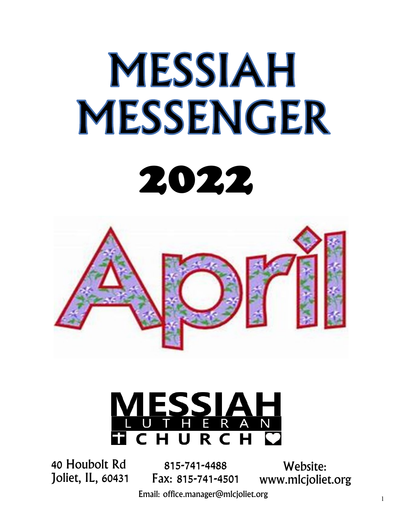# **MESSIAH MESSENGER** 2022



# <u>ESSI</u>  $\overline{\mathsf{R}}$ URC

40 Houbolt Rd Joliet, IL, 60431

815-741-4488 Fax: 815-741-4501

Website: www.mlcjoliet.org

Email: office.manager@mlcjoliet.org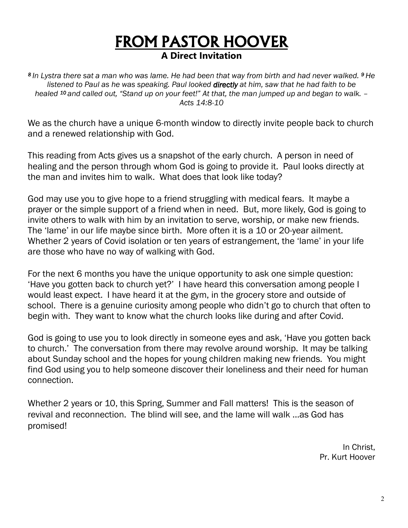#### FROM PASTOR HOOVER **A Direct Invitation**

*8 In Lystra there sat a man who was lame. He had been that way from birth and had never walked. <sup>9</sup>He listened to Paul as he was speaking. Paul looked directly at him, saw that he had faith to be healed <sup>10</sup>and called out, "Stand up on your feet!" At that, the man jumped up and began to walk. – Acts 14:8-10*

We as the church have a unique 6-month window to directly invite people back to church and a renewed relationship with God.

This reading from Acts gives us a snapshot of the early church. A person in need of healing and the person through whom God is going to provide it. Paul looks directly at the man and invites him to walk. What does that look like today?

God may use you to give hope to a friend struggling with medical fears. It maybe a prayer or the simple support of a friend when in need. But, more likely, God is going to invite others to walk with him by an invitation to serve, worship, or make new friends. The 'lame' in our life maybe since birth. More often it is a 10 or 20-year ailment. Whether 2 years of Covid isolation or ten years of estrangement, the 'lame' in your life are those who have no way of walking with God.

For the next 6 months you have the unique opportunity to ask one simple question: 'Have you gotten back to church yet?' I have heard this conversation among people I would least expect. I have heard it at the gym, in the grocery store and outside of school. There is a genuine curiosity among people who didn't go to church that often to begin with. They want to know what the church looks like during and after Covid.

God is going to use you to look directly in someone eyes and ask, 'Have you gotten back to church.' The conversation from there may revolve around worship. It may be talking about Sunday school and the hopes for young children making new friends. You might find God using you to help someone discover their loneliness and their need for human connection.

Whether 2 years or 10, this Spring, Summer and Fall matters! This is the season of revival and reconnection. The blind will see, and the lame will walk …as God has promised!

> In Christ, Pr. Kurt Hoover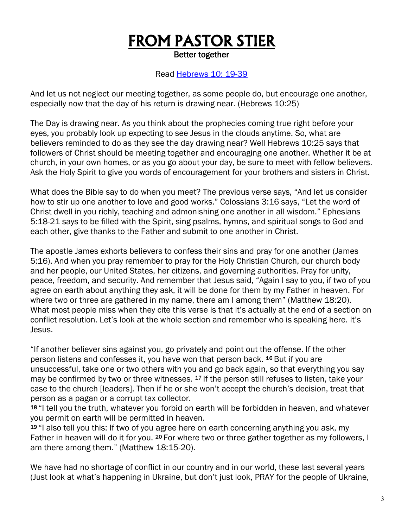# FROM PASTOR STIER

Better together

#### Read [Hebrews 10: 19-39](https://www.biblegateway.com/passage/?search=Hebrews+10%3A19-39&version=NLT)

And let us not neglect our meeting together, as some people do, but encourage one another, especially now that the day of his return is drawing near. (Hebrews 10:25)

The Day is drawing near. As you think about the prophecies coming true right before your eyes, you probably look up expecting to see Jesus in the clouds anytime. So, what are believers reminded to do as they see the day drawing near? Well Hebrews 10:25 says that followers of Christ should be meeting together and encouraging one another. Whether it be at church, in your own homes, or as you go about your day, be sure to meet with fellow believers. Ask the Holy Spirit to give you words of encouragement for your brothers and sisters in Christ.

What does the Bible say to do when you meet? The previous verse says, "And let us consider how to stir up one another to love and good works." Colossians 3:16 says, "Let the word of Christ dwell in you richly, teaching and admonishing one another in all wisdom." Ephesians 5:18-21 says to be filled with the Spirit, sing psalms, hymns, and spiritual songs to God and each other, give thanks to the Father and submit to one another in Christ.

The apostle James exhorts believers to confess their sins and pray for one another (James 5:16). And when you pray remember to pray for the Holy Christian Church, our church body and her people, our United States, her citizens, and governing authorities. Pray for unity, peace, freedom, and security. And remember that Jesus said, "Again I say to you, if two of you agree on earth about anything they ask, it will be done for them by my Father in heaven. For where two or three are gathered in my name, there am I among them" (Matthew 18:20). What most people miss when they cite this verse is that it's actually at the end of a section on conflict resolution. Let's look at the whole section and remember who is speaking here. It's Jesus.

"If another believer sins against you, go privately and point out the offense. If the other person listens and confesses it, you have won that person back. <sup>16</sup> But if you are unsuccessful, take one or two others with you and go back again, so that everything you say may be confirmed by two or three witnesses. <sup>17</sup> If the person still refuses to listen, take your case to the church [leaders]. Then if he or she won't accept the church's decision, treat that person as a pagan or a corrupt tax collector.

<sup>18</sup>"I tell you the truth, whatever you forbid on earth will be forbidden in heaven, and whatever you permit on earth will be permitted in heaven.

19 "I also tell you this: If two of you agree here on earth concerning anything you ask, my Father in heaven will do it for you. <sup>20</sup> For where two or three gather together as my followers, I am there among them." (Matthew 18:15-20).

We have had no shortage of conflict in our country and in our world, these last several years (Just look at what's happening in Ukraine, but don't just look, PRAY for the people of Ukraine,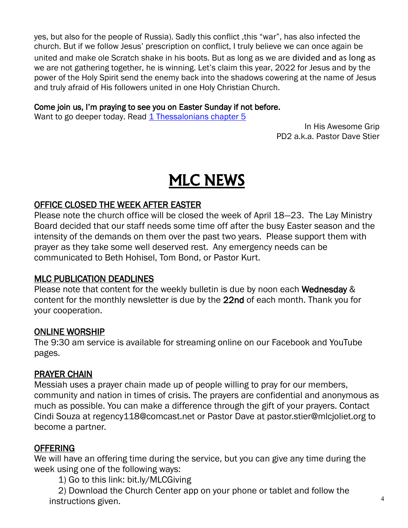yes, but also for the people of Russia). Sadly this conflict ,this "war", has also infected the church. But if we follow Jesus' prescription on conflict, I truly believe we can once again be united and make ole Scratch shake in his boots. But as long as we are divided and as long as we are not gathering together, he is winning. Let's claim this year, 2022 for Jesus and by the power of the Holy Spirit send the enemy back into the shadows cowering at the name of Jesus and truly afraid of His followers united in one Holy Christian Church.

#### Come join us, I'm praying to see you on Easter Sunday if not before.

Want to go deeper today. Read [1 Thessalonians chapter 5](https://www.biblegateway.com/passage/?search=1%20Thessalonians+5&version=NLT)

In His Awesome Grip PD2 a.k.a. Pastor Dave Stier

# MLC NEWS

#### OFFICE CLOSED THE WEEK AFTER EASTER

Please note the church office will be closed the week of April 18—23. The Lay Ministry Board decided that our staff needs some time off after the busy Easter season and the intensity of the demands on them over the past two years. Please support them with prayer as they take some well deserved rest. Any emergency needs can be communicated to Beth Hohisel, Tom Bond, or Pastor Kurt.

#### MLC PUBLICATION DEADLINES

Please note that content for the weekly bulletin is due by noon each Wednesday & content for the monthly newsletter is due by the 22nd of each month. Thank you for your cooperation.

#### ONLINE WORSHIP

The 9:30 am service is available for streaming online on our Facebook and YouTube pages.

#### PRAYER CHAIN

Messiah uses a prayer chain made up of people willing to pray for our members, community and nation in times of crisis. The prayers are confidential and anonymous as much as possible. You can make a difference through the gift of your prayers. Contact Cindi Souza at regency118@comcast.net or Pastor Dave at pastor.stier@mlcjoliet.org to become a partner.

#### OFFERING

We will have an offering time during the service, but you can give any time during the week using one of the following ways:

1) Go to this link: bit.ly/MLCGiving

2) Download the Church Center app on your phone or tablet and follow the instructions given.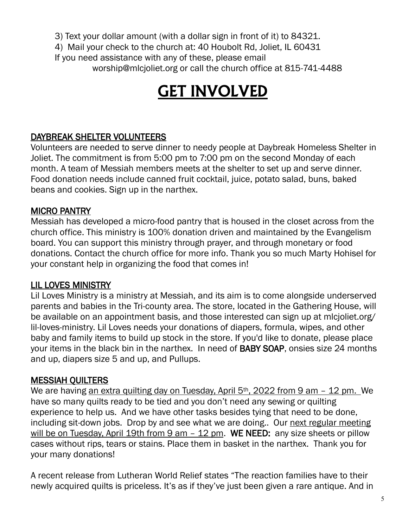3) Text your dollar amount (with a dollar sign in front of it) to 84321.

4) Mail your check to the church at: 40 Houbolt Rd, Joliet, IL 60431 If you need assistance with any of these, please email worship@mlcjoliet.org or call the church office at 815-741-4488

# GET INVOLVED

#### DAYBREAK SHELTER VOLUNTEERS

Volunteers are needed to serve dinner to needy people at Daybreak Homeless Shelter in Joliet. The commitment is from 5:00 pm to 7:00 pm on the second Monday of each month. A team of Messiah members meets at the shelter to set up and serve dinner. Food donation needs include canned fruit cocktail, juice, potato salad, buns, baked beans and cookies. Sign up in the narthex.

#### MICRO PANTRY

Messiah has developed a micro-food pantry that is housed in the closet across from the church office. This ministry is 100% donation driven and maintained by the Evangelism board. You can support this ministry through prayer, and through monetary or food donations. Contact the church office for more info. Thank you so much Marty Hohisel for your constant help in organizing the food that comes in!

#### LIL LOVES MINISTRY

Lil Loves Ministry is a ministry at Messiah, and its aim is to come alongside underserved parents and babies in the Tri-county area. The store, located in the Gathering House, will be available on an appointment basis, and those interested can sign up at mlcjoliet.org/ lil-loves-ministry. Lil Loves needs your donations of diapers, formula, wipes, and other baby and family items to build up stock in the store. If you'd like to donate, please place your items in the black bin in the narthex. In need of BABY SOAP, onsies size 24 months and up, diapers size 5 and up, and Pullups.

#### MESSIAH QUILTERS

We are having an extra quilting day on Tuesday, April 5<sup>th</sup>, 2022 from 9 am - 12 pm. We have so many quilts ready to be tied and you don't need any sewing or quilting experience to help us. And we have other tasks besides tying that need to be done, including sit-down jobs. Drop by and see what we are doing.. Our next regular meeting will be on Tuesday, April 19th from  $9$  am  $-$  12 pm. WE NEED: any size sheets or pillow cases without rips, tears or stains. Place them in basket in the narthex. Thank you for your many donations!

A recent release from Lutheran World Relief states "The reaction families have to their newly acquired quilts is priceless. It's as if they've just been given a rare antique. And in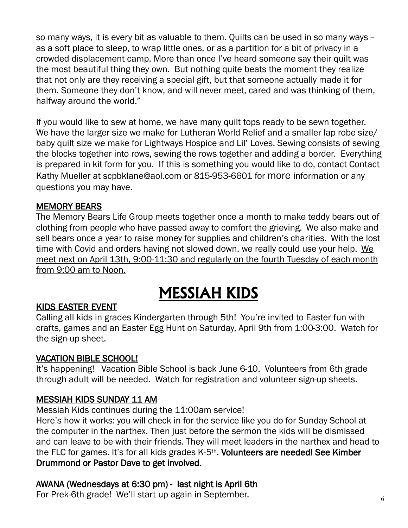so many ways, it is every bit as valuable to them. Quilts can be used in so many ways – as a soft place to sleep, to wrap little ones, or as a partition for a bit of privacy in a crowded displacement camp. More than once I've heard someone say their quilt was the most beautiful thing they own. But nothing quite beats the moment they realize that not only are they receiving a special gift, but that someone actually made it for them. Someone they don't know, and will never meet, cared and was thinking of them, halfway around the world."

If you would like to sew at home, we have many quilt tops ready to be sewn together. We have the larger size we make for Lutheran World Relief and a smaller lap robe size/ baby quilt size we make for Lightways Hospice and Lil' Loves. Sewing consists of sewing the blocks together into rows, sewing the rows together and adding a border. Everything is prepared in kit form for you. If this is something you would like to do, contact Contact Kathy Mueller at scpbklane@aol.com or 815-953-6601 for more information or any questions you may have.

#### MEMORY BEARS

The Memory Bears Life Group meets together once a month to make teddy bears out of clothing from people who have passed away to comfort the grieving. We also make and sell bears once a year to raise money for supplies and children's charities. With the lost time with Covid and orders having not slowed down, we really could use your help. We meet next on April 13th, 9:00-11:30 and regularly on the fourth Tuesday of each month from 9:00 am to Noon.

## MESSIAH KIDS

#### KIDS EASTER EVENT

Calling all kids in grades Kindergarten through 5th! You're invited to Easter fun with crafts, games and an Easter Egg Hunt on Saturday, April 9th from 1:00-3:00. Watch for the sign-up sheet.

#### VACATION BIBLE SCHOOL!

It's happening! Vacation Bible School is back June 6-10. Volunteers from 6th grade through adult will be needed. Watch for registration and volunteer sign-up sheets.

#### MESSIAH KIDS SUNDAY 11 AM

Messiah Kids continues during the 11:00am service!

Here's how it works: you will check in for the service like you do for Sunday School at the computer in the narthex. Then just before the sermon the kids will be dismissed and can leave to be with their friends. They will meet leaders in the narthex and head to the FLC for games. It's for all kids grades K-5<sup>th</sup>. Volunteers are needed! See Kimber Drummond or Pastor Dave to get involved.

#### AWANA (Wednesdays at 6:30 pm) - last night is April 6th

For Prek-6th grade! We'll start up again in September.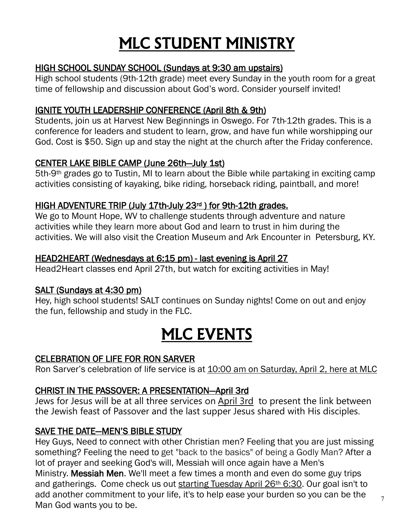# MLC STUDENT MINISTRY

#### HIGH SCHOOL SUNDAY SCHOOL (Sundays at 9:30 am upstairs)

High school students (9th-12th grade) meet every Sunday in the youth room for a great time of fellowship and discussion about God's word. Consider yourself invited!

#### IGNITE YOUTH LEADERSHIP CONFERENCE (April 8th & 9th)

Students, join us at Harvest New Beginnings in Oswego. For 7th-12th grades. This is a conference for leaders and student to learn, grow, and have fun while worshipping our God. Cost is \$50. Sign up and stay the night at the church after the Friday conference.

#### CENTER LAKE BIBLE CAMP (June 26th—July 1st)

5th-9th grades go to Tustin, MI to learn about the Bible while partaking in exciting camp activities consisting of kayaking, bike riding, horseback riding, paintball, and more!

#### HIGH ADVENTURE TRIP (July 17th-July 23rd ) for 9th-12th grades.

We go to Mount Hope, WV to challenge students through adventure and nature activities while they learn more about God and learn to trust in him during the activities. We will also visit the Creation Museum and Ark Encounter in Petersburg, KY.

#### HEAD2HEART (Wednesdays at 6:15 pm) - last evening is April 27

Head2Heart classes end April 27th, but watch for exciting activities in May!

#### SALT (Sundays at 4:30 pm)

Hey, high school students! SALT continues on Sunday nights! Come on out and enjoy the fun, fellowship and study in the FLC.

# MLC EVENTS

#### CELEBRATION OF LIFE FOR RON SARVER

Ron Sarver's celebration of life service is at 10:00 am on Saturday, April 2, here at MLC

#### CHRIST IN THE PASSOVER: A PRESENTATION—April 3rd

Jews for Jesus will be at all three services on April 3rd to present the link between the Jewish feast of Passover and the last supper Jesus shared with His disciples.

#### SAVE THE DATE—MEN'S BIBLE STUDY

Hey Guys, Need to connect with other Christian men? Feeling that you are just missing something? Feeling the need to get "back to the basics" of being a Godly Man? After a lot of prayer and seeking God's will, Messiah will once again have a Men's Ministry. Messiah Men. We'll meet a few times a month and even do some guy trips and gatherings. Come check us out starting Tuesday April 26th 6:30. Our goal isn't to add another commitment to your life, it's to help ease your burden so you can be the Man God wants you to be.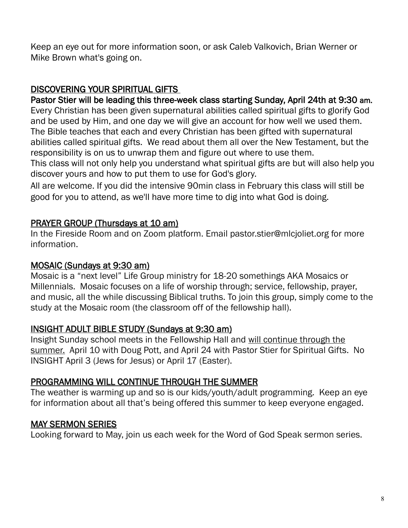Keep an eye out for more information soon, or ask Caleb Valkovich, Brian Werner or Mike Brown what's going on.

#### DISCOVERING YOUR SPIRITUAL GIFTS

Pastor Stier will be leading this three-week class starting Sunday, April 24th at 9:30 am. Every Christian has been given supernatural abilities called spiritual gifts to glorify God and be used by Him, and one day we will give an account for how well we used them. The Bible teaches that each and every Christian has been gifted with supernatural abilities called spiritual gifts. We read about them all over the New Testament, but the responsibility is on us to unwrap them and figure out where to use them.

This class will not only help you understand what spiritual gifts are but will also help you discover yours and how to put them to use for God's glory.

All are welcome. If you did the intensive 90min class in February this class will still be good for you to attend, as we'll have more time to dig into what God is doing.

#### PRAYER GROUP (Thursdays at 10 am)

In the Fireside Room and on Zoom platform. Email pastor.stier@mlcjoliet.org for more information.

#### MOSAIC (Sundays at 9:30 am)

Mosaic is a "next level" Life Group ministry for 18-20 somethings AKA Mosaics or Millennials. Mosaic focuses on a life of worship through; service, fellowship, prayer, and music, all the while discussing Biblical truths. To join this group, simply come to the study at the Mosaic room (the classroom off of the fellowship hall).

#### INSIGHT ADULT BIBLE STUDY (Sundays at 9:30 am)

Insight Sunday school meets in the Fellowship Hall and will continue through the summer. April 10 with Doug Pott, and April 24 with Pastor Stier for Spiritual Gifts. No INSIGHT April 3 (Jews for Jesus) or April 17 (Easter).

#### PROGRAMMING WILL CONTINUE THROUGH THE SUMMER

The weather is warming up and so is our kids/youth/adult programming. Keep an eye for information about all that's being offered this summer to keep everyone engaged.

#### MAY SERMON SERIES

Looking forward to May, join us each week for the Word of God Speak sermon series.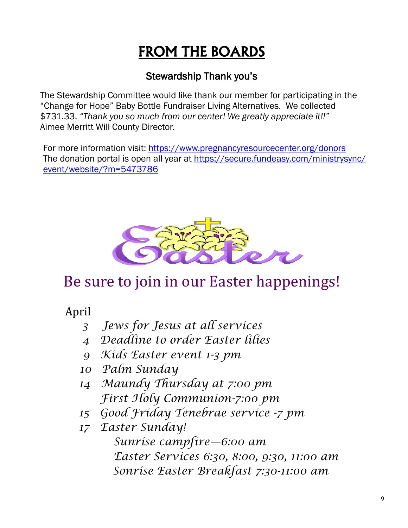## FROM THE BOARDS

#### Stewardship Thank you's

The Stewardship Committee would like thank our member for participating in the "Change for Hope" Baby Bottle Fundraiser Living Alternatives. We collected \$731.33. *"Thank you so much from our center! We greatly appreciate it!!"*  Aimee Merritt Will County Director.

For more information visit: <https://www.pregnancyresourcecenter.org/donors> The donation portal is open all year at [https://secure.fundeasy.com/ministrysync/](https://secure.fundeasy.com/ministrysync/event/website/?m=5473786) [event/website/?m=5473786](https://secure.fundeasy.com/ministrysync/event/website/?m=5473786)



## Be sure to join in our Easter happenings!

April

- *3 Jews for Jesus at all services*
- *4 Deadline to order Easter lilies*
- *9 Kids Easter event 1-3 pm*
- *10 Palm Sunday*
- *14 Maundy Thursday at 7:00 pm First Holy Communion-7:00 pm*
- *15 Good Friday Tenebrae service -7 pm*
- *17 Easter Sunday!*
	- *Sunrise campfire—6:00 am Easter Services 6:30, 8:00, 9:30, 11:00 am Sonrise Easter Breakfast 7:30-11:00 am*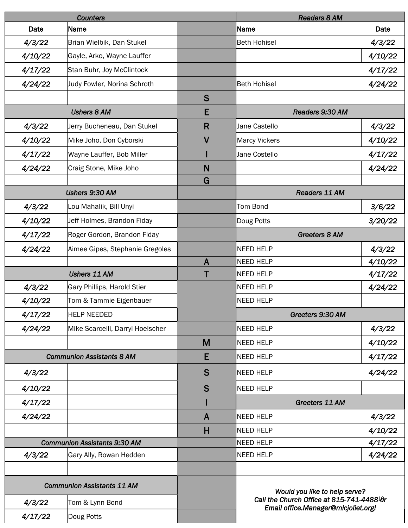| <b>Counters</b>                     |                                  |              | <b>Readers 8 AM</b>                                                              |         |  |
|-------------------------------------|----------------------------------|--------------|----------------------------------------------------------------------------------|---------|--|
| Date                                | Name                             |              | Name                                                                             | Date    |  |
| 4/3/22                              | Brian Wielbik, Dan Stukel        |              | <b>Beth Hohisel</b>                                                              | 4/3/22  |  |
| 4/10/22                             | Gayle, Arko, Wayne Lauffer       |              |                                                                                  | 4/10/22 |  |
| 4/17/22                             | Stan Buhr, Joy McClintock        |              |                                                                                  | 4/17/22 |  |
| 4/24/22                             | Judy Fowler, Norina Schroth      |              | <b>Beth Hohisel</b>                                                              | 4/24/22 |  |
|                                     |                                  | S            |                                                                                  |         |  |
| <b>Ushers 8 AM</b>                  |                                  | E            | Readers 9:30 AM                                                                  |         |  |
| 4/3/22                              | Jerry Bucheneau, Dan Stukel      | $\mathsf{R}$ | Jane Castello                                                                    | 4/3/22  |  |
| 4/10/22                             | Mike Joho, Don Cyborski          | $\mathsf{V}$ | <b>Marcy Vickers</b>                                                             | 4/10/22 |  |
| 4/17/22                             | Wayne Lauffer, Bob Miller        |              | Jane Costello                                                                    | 4/17/22 |  |
| 4/24/22                             | Craig Stone, Mike Joho           | N            |                                                                                  | 4/24/22 |  |
|                                     |                                  | G            |                                                                                  |         |  |
| Ushers 9:30 AM                      |                                  |              | Readers 11 AM                                                                    |         |  |
| 4/3/22                              | Lou Mahalik, Bill Unyi           |              | <b>Tom Bond</b>                                                                  | 3/6/22  |  |
| 4/10/22                             | Jeff Holmes, Brandon Fiday       |              | Doug Potts                                                                       | 3/20/22 |  |
| 4/17/22                             | Roger Gordon, Brandon Fiday      |              | <b>Greeters 8 AM</b>                                                             |         |  |
| 4/24/22                             | Aimee Gipes, Stephanie Gregoles  |              | <b>NEED HELP</b>                                                                 | 4/3/22  |  |
|                                     |                                  | $\mathsf{A}$ | <b>NEED HELP</b>                                                                 | 4/10/22 |  |
| <b>Ushers 11 AM</b>                 |                                  |              | NEED HELP                                                                        | 4/17/22 |  |
| 4/3/22                              | Gary Phillips, Harold Stier      |              | <b>NEED HELP</b>                                                                 | 4/24/22 |  |
| 4/10/22                             | Tom & Tammie Eigenbauer          |              | <b>NEED HELP</b>                                                                 |         |  |
| 4/17/22                             | <b>HELP NEEDED</b>               |              | Greeters 9:30 AM                                                                 |         |  |
| 4/24/22                             | Mike Scarcelli, Darryl Hoelscher |              | <b>NEED HELP</b>                                                                 | 4/3/22  |  |
|                                     |                                  | M            | <b>NEED HELP</b>                                                                 | 4/10/22 |  |
|                                     | <b>Communion Assistants 8 AM</b> | E            | <b>NEED HELP</b>                                                                 | 4/17/22 |  |
| 4/3/22                              |                                  | S            | NEED HELP                                                                        | 4/24/22 |  |
| 4/10/22                             |                                  | S            | <b>NEED HELP</b>                                                                 |         |  |
| 4/17/22                             |                                  |              | Greeters 11 AM                                                                   |         |  |
| 4/24/22                             |                                  | A            | NEED HELP                                                                        | 4/3/22  |  |
|                                     |                                  | $\mathsf{H}$ | NEED HELP                                                                        | 4/10/22 |  |
| <b>Communion Assistants 9:30 AM</b> |                                  |              | <b>NEED HELP</b>                                                                 | 4/17/22 |  |
| 4/3/22                              | Gary Ally, Rowan Hedden          |              | <b>NEED HELP</b>                                                                 | 4/24/22 |  |
|                                     |                                  |              |                                                                                  |         |  |
| <b>Communion Assistants 11 AM</b>   |                                  |              | Would you like to help serve?                                                    |         |  |
| 4/3/22                              | Tom & Lynn Bond                  |              | Call the Church Office at 815-741-448810r<br>Email office.Manager@mlcjoliet.org! |         |  |
| 4/17/22                             | Doug Potts                       |              |                                                                                  |         |  |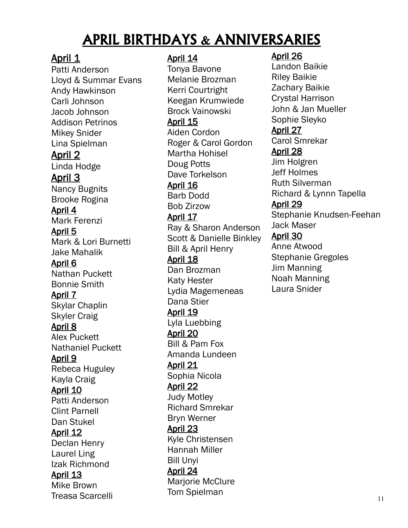### APRIL BIRTHDAYS & ANNIVERSARIES

#### April 1

Patti Anderson Lloyd & Summar Evans Andy Hawkinson Carli Johnson Jacob Johnson Addison Petrinos Mikey Snider Lina Spielman April 2 Linda Hodge April 3 Nancy Bugnits Brooke Rogina April 4 Mark Ferenzi April 5 Mark & Lori Burnetti Jake Mahalik April 6 Nathan Puckett Bonnie Smith April 7 Skylar Chaplin Skyler Craig April 8 Alex Puckett Nathaniel Puckett April 9 Rebeca Huguley Kayla Craig April 10 Patti Anderson Clint Parnell Dan Stukel April 12 Declan Henry Laurel Ling Izak Richmond April 13 Mike Brown Treasa Scarcelli

#### April 14

Tonya Bavone Melanie Brozman Kerri Courtright Keegan Krumwiede Brock Vainowski April 15 Aiden Cordon Roger & Carol Gordon Martha Hohisel Doug Potts Dave Torkelson April 16 Barb Dodd Bob Zirzow April 17 Ray & Sharon Anderson Scott & Danielle Binkley Bill & April Henry April 18 Dan Brozman Katy Hester Lydia Magemeneas Dana Stier April 19 Lyla Luebbing April 20 Bill & Pam Fox Amanda Lundeen April 21 Sophia Nicola April 22 Judy Motley Richard Smrekar Bryn Werner April 23 Kyle Christensen Hannah Miller Bill Unyi April 24 Marjorie McClure Tom Spielman

#### April 26

Landon Baikie Riley Baikie Zachary Baikie Crystal Harrison John & Jan Mueller Sophie Sleyko April 27 Carol Smrekar April 28 Jim Holgren Jeff Holmes Ruth Silverman Richard & Lynnn Tapella April 29 Stephanie Knudsen-Feehan Jack Maser April 30 Anne Atwood Stephanie Gregoles Jim Manning Noah Manning Laura Snider